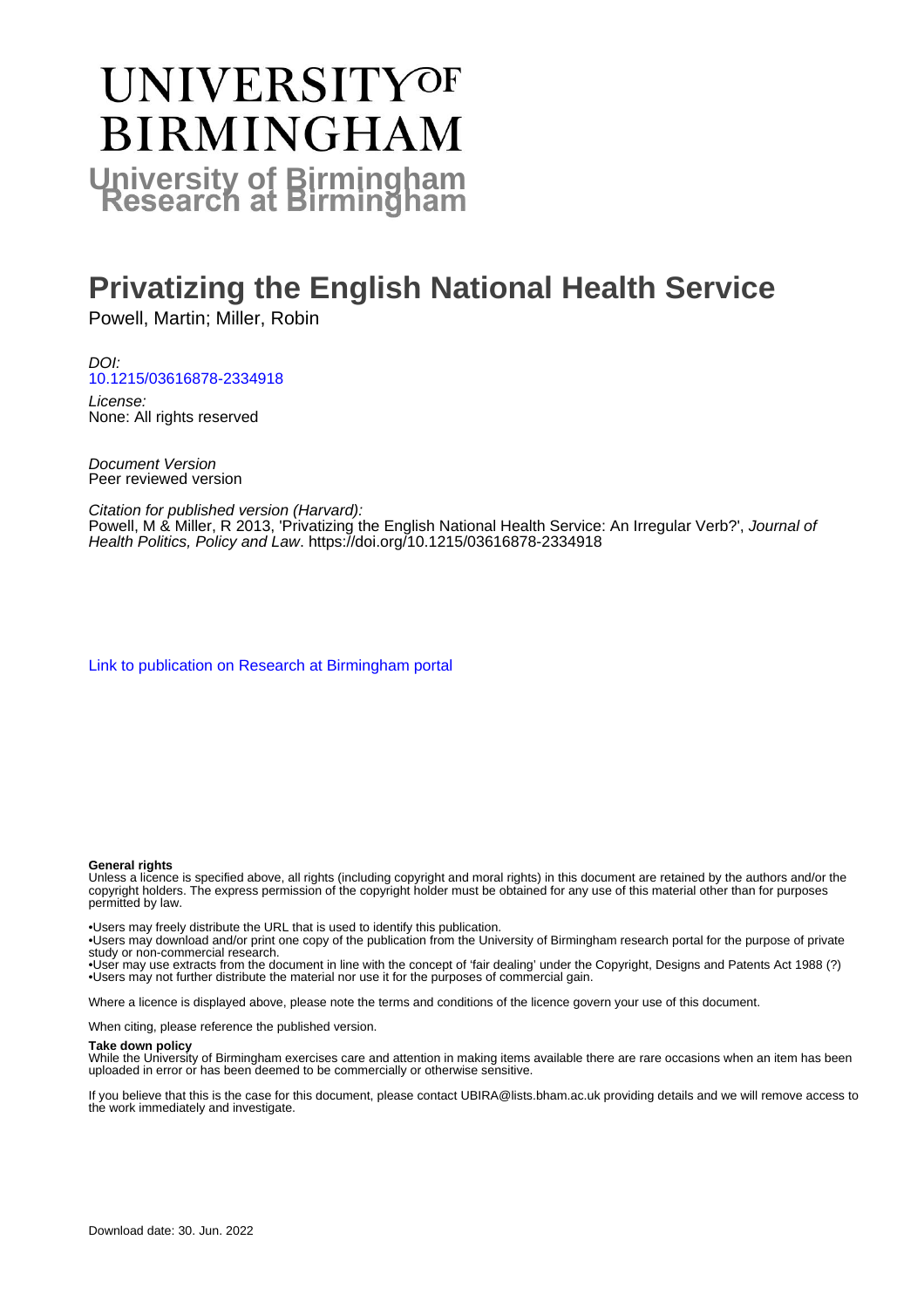# **UNIVERSITYOF BIRMINGHAM University of Birmingham**

# **Privatizing the English National Health Service**

Powell, Martin; Miller, Robin

DOI: [10.1215/03616878-2334918](https://doi.org/10.1215/03616878-2334918)

License: None: All rights reserved

Document Version Peer reviewed version

Citation for published version (Harvard):

Powell, M & Miller, R 2013, 'Privatizing the English National Health Service: An Irregular Verb?', Journal of Health Politics, Policy and Law. <https://doi.org/10.1215/03616878-2334918>

[Link to publication on Research at Birmingham portal](https://birmingham.elsevierpure.com/en/publications/df5ef73c-7789-4665-b924-41a837905bb0)

#### **General rights**

Unless a licence is specified above, all rights (including copyright and moral rights) in this document are retained by the authors and/or the copyright holders. The express permission of the copyright holder must be obtained for any use of this material other than for purposes permitted by law.

• Users may freely distribute the URL that is used to identify this publication.

• Users may download and/or print one copy of the publication from the University of Birmingham research portal for the purpose of private study or non-commercial research.

• User may use extracts from the document in line with the concept of 'fair dealing' under the Copyright, Designs and Patents Act 1988 (?) • Users may not further distribute the material nor use it for the purposes of commercial gain.

Where a licence is displayed above, please note the terms and conditions of the licence govern your use of this document.

When citing, please reference the published version.

#### **Take down policy**

While the University of Birmingham exercises care and attention in making items available there are rare occasions when an item has been uploaded in error or has been deemed to be commercially or otherwise sensitive.

If you believe that this is the case for this document, please contact UBIRA@lists.bham.ac.uk providing details and we will remove access to the work immediately and investigate.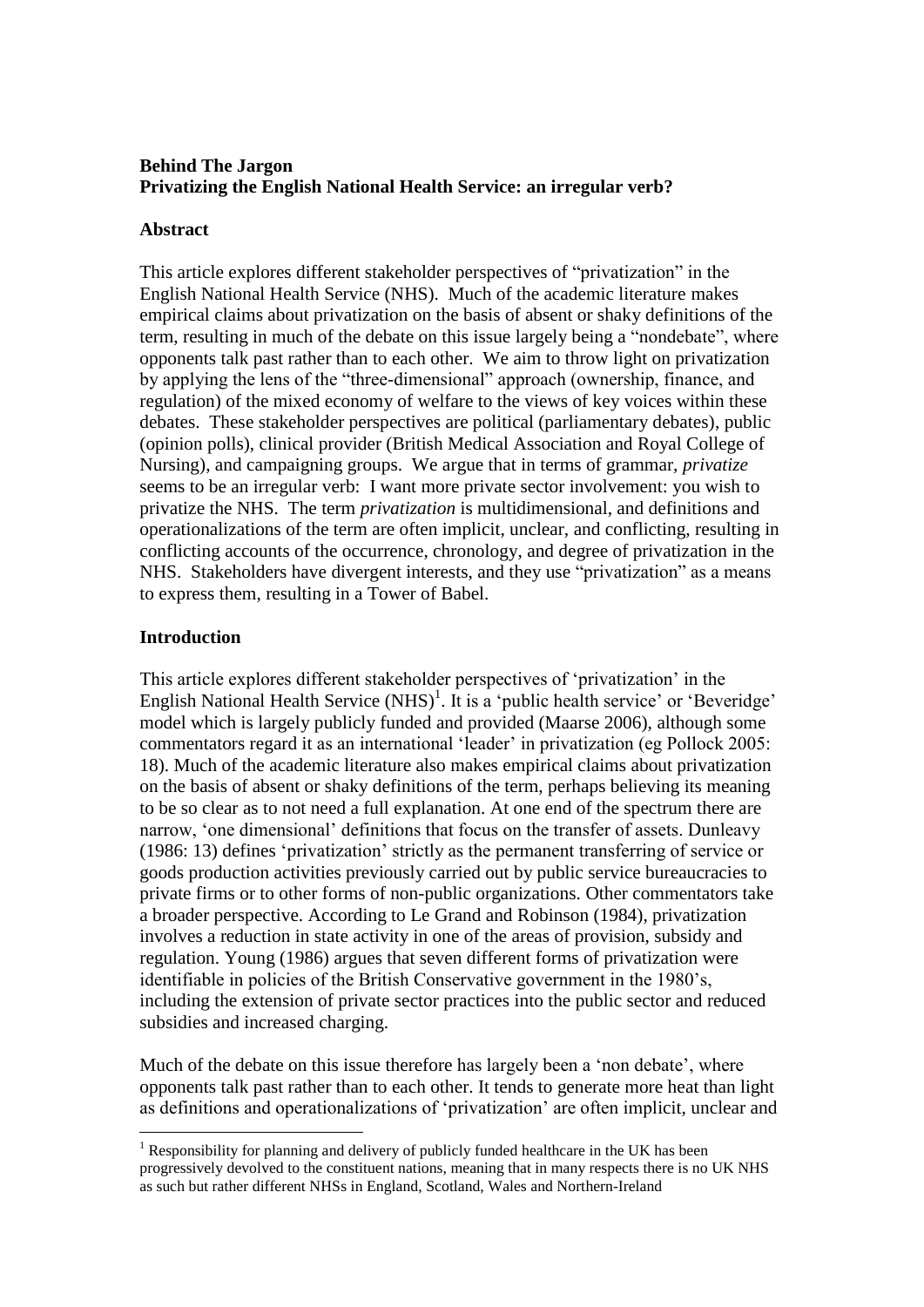### **Behind The Jargon Privatizing the English National Health Service: an irregular verb?**

#### **Abstract**

This article explores different stakeholder perspectives of "privatization" in the English National Health Service (NHS). Much of the academic literature makes empirical claims about privatization on the basis of absent or shaky definitions of the term, resulting in much of the debate on this issue largely being a "nondebate", where opponents talk past rather than to each other. We aim to throw light on privatization by applying the lens of the "three-dimensional" approach (ownership, finance, and regulation) of the mixed economy of welfare to the views of key voices within these debates. These stakeholder perspectives are political (parliamentary debates), public (opinion polls), clinical provider (British Medical Association and Royal College of Nursing), and campaigning groups. We argue that in terms of grammar, *privatize* seems to be an irregular verb: I want more private sector involvement: you wish to privatize the NHS. The term *privatization* is multidimensional, and definitions and operationalizations of the term are often implicit, unclear, and conflicting, resulting in conflicting accounts of the occurrence, chronology, and degree of privatization in the NHS. Stakeholders have divergent interests, and they use "privatization" as a means to express them, resulting in a Tower of Babel.

#### **Introduction**

<u>.</u>

This article explores different stakeholder perspectives of 'privatization' in the English National Health Service  $(NHS)^1$ . It is a 'public health service' or 'Beveridge' model which is largely publicly funded and provided (Maarse 2006), although some commentators regard it as an international 'leader' in privatization (eg Pollock 2005: 18). Much of the academic literature also makes empirical claims about privatization on the basis of absent or shaky definitions of the term, perhaps believing its meaning to be so clear as to not need a full explanation. At one end of the spectrum there are narrow, 'one dimensional' definitions that focus on the transfer of assets. Dunleavy (1986: 13) defines 'privatization' strictly as the permanent transferring of service or goods production activities previously carried out by public service bureaucracies to private firms or to other forms of non-public organizations. Other commentators take a broader perspective. According to Le Grand and Robinson (1984), privatization involves a reduction in state activity in one of the areas of provision, subsidy and regulation. Young (1986) argues that seven different forms of privatization were identifiable in policies of the British Conservative government in the 1980's, including the extension of private sector practices into the public sector and reduced subsidies and increased charging.

Much of the debate on this issue therefore has largely been a 'non debate', where opponents talk past rather than to each other. It tends to generate more heat than light as definitions and operationalizations of 'privatization' are often implicit, unclear and

<sup>&</sup>lt;sup>1</sup> Responsibility for planning and delivery of publicly funded healthcare in the UK has been progressively devolved to the constituent nations, meaning that in many respects there is no UK NHS as such but rather different NHSs in England, Scotland, Wales and Northern-Ireland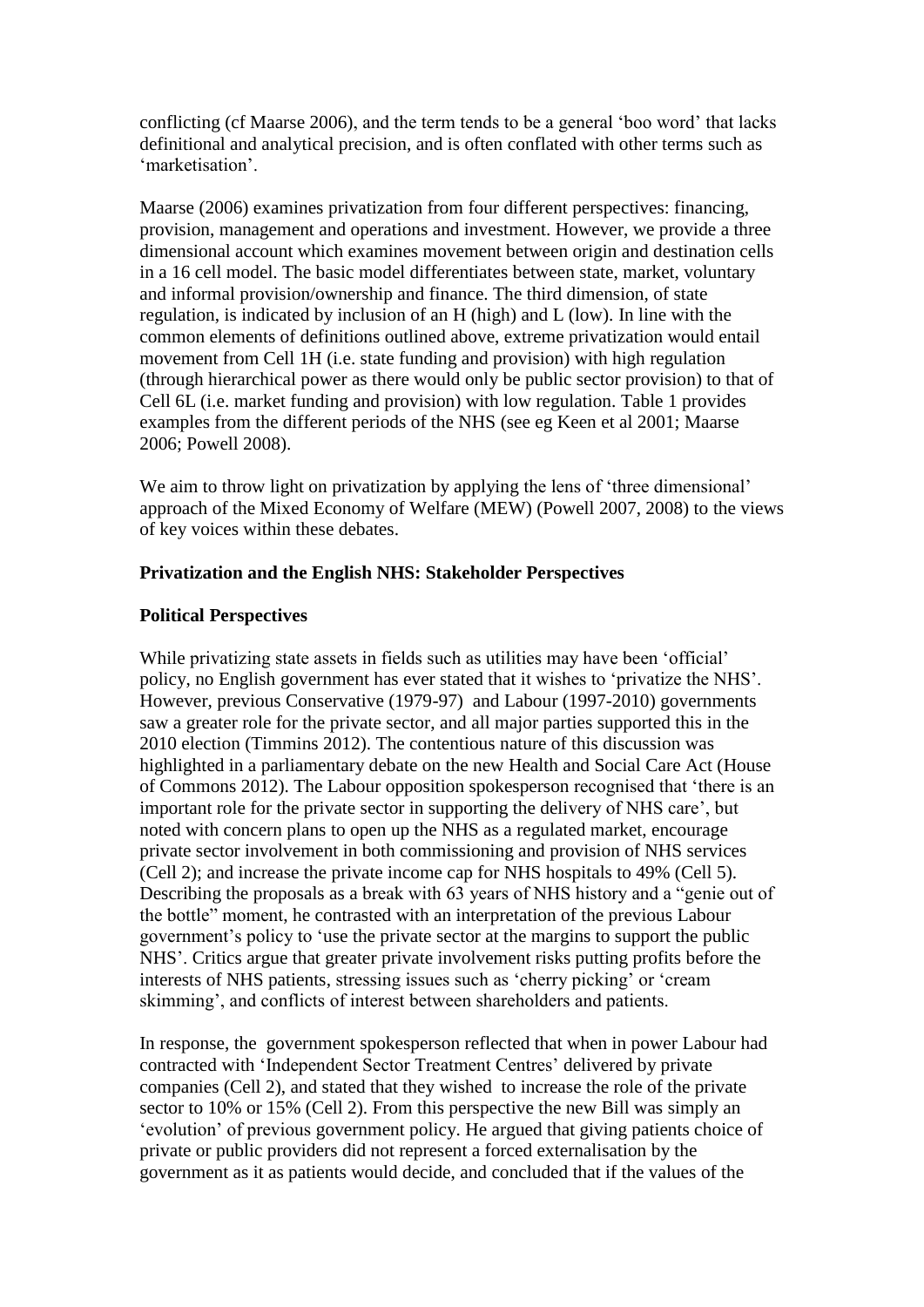conflicting (cf Maarse 2006), and the term tends to be a general 'boo word' that lacks definitional and analytical precision, and is often conflated with other terms such as 'marketisation'.

Maarse (2006) examines privatization from four different perspectives: financing, provision, management and operations and investment. However, we provide a three dimensional account which examines movement between origin and destination cells in a 16 cell model. The basic model differentiates between state, market, voluntary and informal provision/ownership and finance. The third dimension, of state regulation, is indicated by inclusion of an H (high) and L (low). In line with the common elements of definitions outlined above, extreme privatization would entail movement from Cell 1H (i.e. state funding and provision) with high regulation (through hierarchical power as there would only be public sector provision) to that of Cell 6L (i.e. market funding and provision) with low regulation. Table 1 provides examples from the different periods of the NHS (see eg Keen et al 2001; Maarse 2006; Powell 2008).

We aim to throw light on privatization by applying the lens of 'three dimensional' approach of the Mixed Economy of Welfare (MEW) (Powell 2007, 2008) to the views of key voices within these debates.

#### **Privatization and the English NHS: Stakeholder Perspectives**

#### **Political Perspectives**

While privatizing state assets in fields such as utilities may have been 'official' policy, no English government has ever stated that it wishes to 'privatize the NHS'. However, previous Conservative (1979-97) and Labour (1997-2010) governments saw a greater role for the private sector, and all major parties supported this in the 2010 election (Timmins 2012). The contentious nature of this discussion was highlighted in a parliamentary debate on the new Health and Social Care Act (House of Commons 2012). The Labour opposition spokesperson recognised that 'there is an important role for the private sector in supporting the delivery of NHS care', but noted with concern plans to open up the NHS as a regulated market, encourage private sector involvement in both commissioning and provision of NHS services (Cell 2); and increase the private income cap for NHS hospitals to 49% (Cell 5). Describing the proposals as a break with 63 years of NHS history and a "genie out of the bottle" moment, he contrasted with an interpretation of the previous Labour government's policy to 'use the private sector at the margins to support the public NHS'. Critics argue that greater private involvement risks putting profits before the interests of NHS patients, stressing issues such as 'cherry picking' or 'cream skimming', and conflicts of interest between shareholders and patients.

In response, the government spokesperson reflected that when in power Labour had contracted with 'Independent Sector Treatment Centres' delivered by private companies (Cell 2), and stated that they wished to increase the role of the private sector to 10% or 15% (Cell 2). From this perspective the new Bill was simply an 'evolution' of previous government policy. He argued that giving patients choice of private or public providers did not represent a forced externalisation by the government as it as patients would decide, and concluded that if the values of the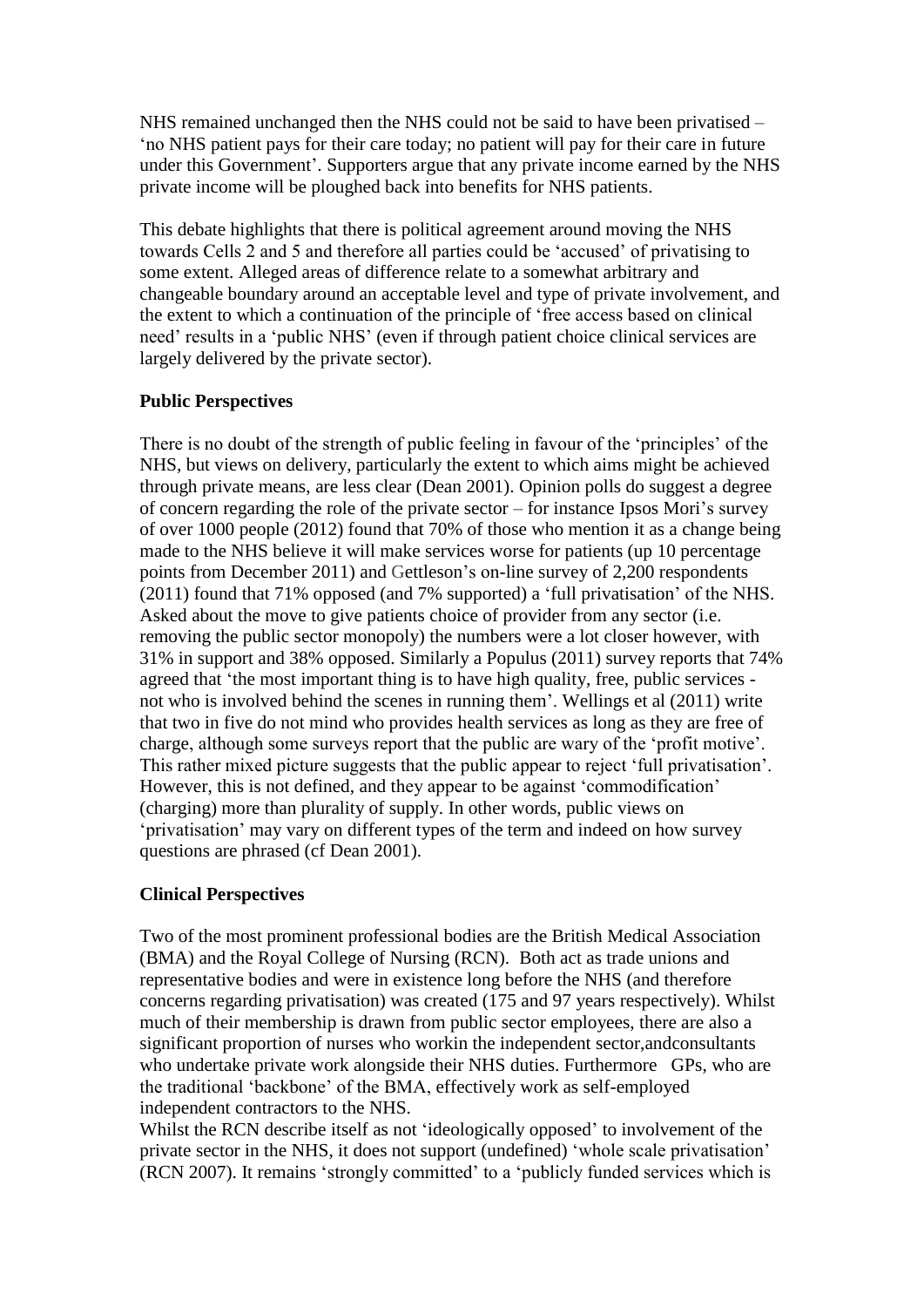NHS remained unchanged then the NHS could not be said to have been privatised – 'no NHS patient pays for their care today; no patient will pay for their care in future under this Government'. Supporters argue that any private income earned by the NHS private income will be ploughed back into benefits for NHS patients.

This debate highlights that there is political agreement around moving the NHS towards Cells 2 and 5 and therefore all parties could be 'accused' of privatising to some extent. Alleged areas of difference relate to a somewhat arbitrary and changeable boundary around an acceptable level and type of private involvement, and the extent to which a continuation of the principle of 'free access based on clinical need' results in a 'public NHS' (even if through patient choice clinical services are largely delivered by the private sector).

#### **Public Perspectives**

There is no doubt of the strength of public feeling in favour of the 'principles' of the NHS, but views on delivery, particularly the extent to which aims might be achieved through private means, are less clear (Dean 2001). Opinion polls do suggest a degree of concern regarding the role of the private sector – for instance Ipsos Mori's survey of over 1000 people (2012) found that 70% of those who mention it as a change being made to the NHS believe it will make services worse for patients (up 10 percentage points from December 2011) and Gettleson's on-line survey of 2,200 respondents (2011) found that 71% opposed (and 7% supported) a 'full privatisation' of the NHS. Asked about the move to give patients choice of provider from any sector (i.e. removing the public sector monopoly) the numbers were a lot closer however, with 31% in support and 38% opposed. Similarly a Populus (2011) survey reports that 74% agreed that 'the most important thing is to have high quality, free, public services not who is involved behind the scenes in running them'. Wellings et al (2011) write that two in five do not mind who provides health services as long as they are free of charge, although some surveys report that the public are wary of the 'profit motive'. This rather mixed picture suggests that the public appear to reject 'full privatisation'. However, this is not defined, and they appear to be against 'commodification' (charging) more than plurality of supply. In other words, public views on 'privatisation' may vary on different types of the term and indeed on how survey questions are phrased (cf Dean 2001).

#### **Clinical Perspectives**

Two of the most prominent professional bodies are the British Medical Association (BMA) and the Royal College of Nursing (RCN). Both act as trade unions and representative bodies and were in existence long before the NHS (and therefore concerns regarding privatisation) was created (175 and 97 years respectively). Whilst much of their membership is drawn from public sector employees, there are also a significant proportion of nurses who workin the independent sector,andconsultants who undertake private work alongside their NHS duties. Furthermore GPs, who are the traditional 'backbone' of the BMA, effectively work as self-employed independent contractors to the NHS.

Whilst the RCN describe itself as not 'ideologically opposed' to involvement of the private sector in the NHS, it does not support (undefined) 'whole scale privatisation' (RCN 2007). It remains 'strongly committed' to a 'publicly funded services which is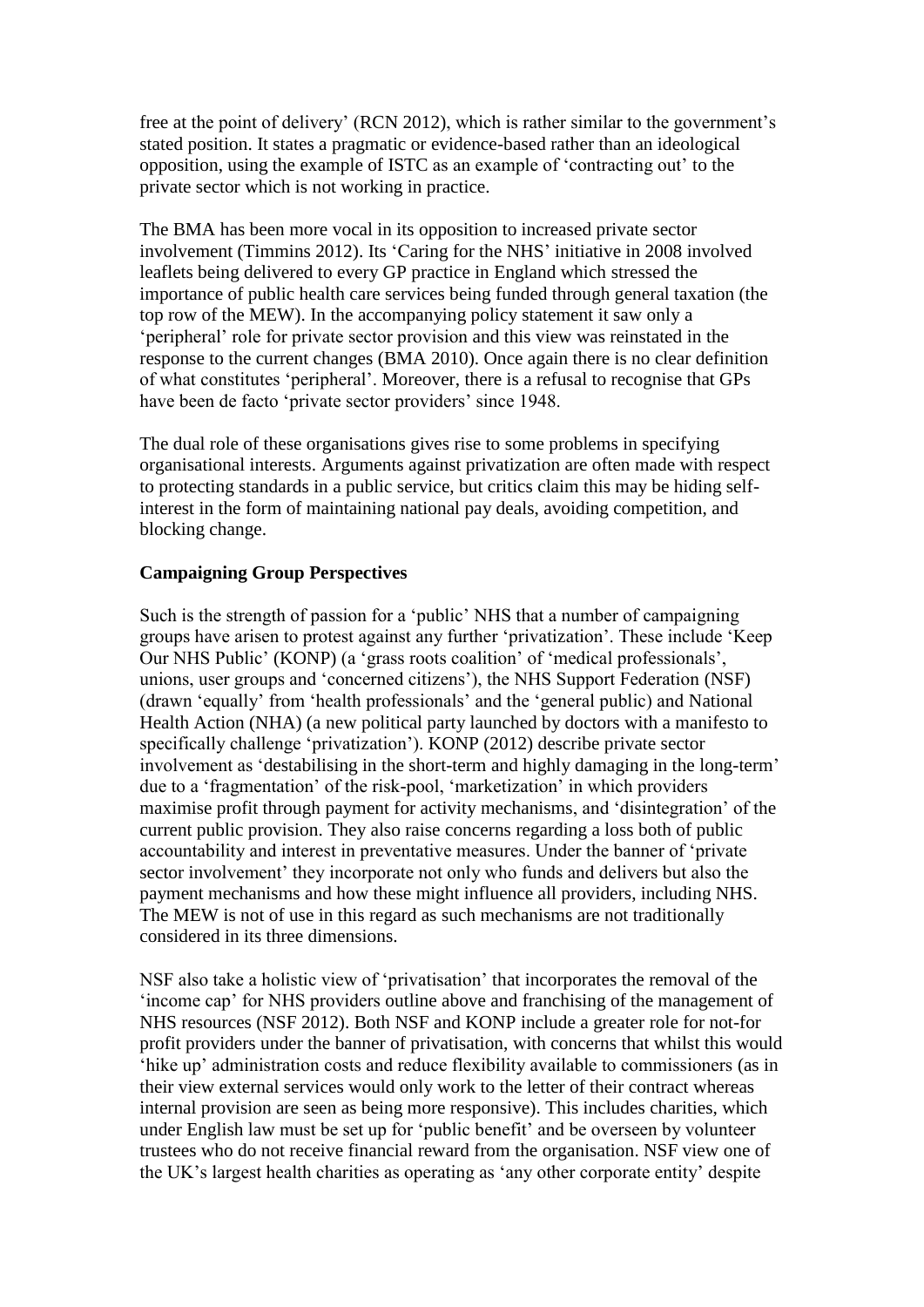free at the point of delivery' (RCN 2012), which is rather similar to the government's stated position. It states a pragmatic or evidence-based rather than an ideological opposition, using the example of ISTC as an example of 'contracting out' to the private sector which is not working in practice.

The BMA has been more vocal in its opposition to increased private sector involvement (Timmins 2012). Its 'Caring for the NHS' initiative in 2008 involved leaflets being delivered to every GP practice in England which stressed the importance of public health care services being funded through general taxation (the top row of the MEW). In the accompanying policy statement it saw only a 'peripheral' role for private sector provision and this view was reinstated in the response to the current changes (BMA 2010). Once again there is no clear definition of what constitutes 'peripheral'. Moreover, there is a refusal to recognise that GPs have been de facto 'private sector providers' since 1948.

The dual role of these organisations gives rise to some problems in specifying organisational interests. Arguments against privatization are often made with respect to protecting standards in a public service, but critics claim this may be hiding selfinterest in the form of maintaining national pay deals, avoiding competition, and blocking change.

#### **Campaigning Group Perspectives**

Such is the strength of passion for a 'public' NHS that a number of campaigning groups have arisen to protest against any further 'privatization'. These include 'Keep Our NHS Public' (KONP) (a 'grass roots coalition' of 'medical professionals', unions, user groups and 'concerned citizens'), the NHS Support Federation (NSF) (drawn 'equally' from 'health professionals' and the 'general public) and National Health Action (NHA) (a new political party launched by doctors with a manifesto to specifically challenge 'privatization'). KONP (2012) describe private sector involvement as 'destabilising in the short-term and highly damaging in the long-term' due to a 'fragmentation' of the risk-pool, 'marketization' in which providers maximise profit through payment for activity mechanisms, and 'disintegration' of the current public provision. They also raise concerns regarding a loss both of public accountability and interest in preventative measures. Under the banner of 'private sector involvement' they incorporate not only who funds and delivers but also the payment mechanisms and how these might influence all providers, including NHS. The MEW is not of use in this regard as such mechanisms are not traditionally considered in its three dimensions.

NSF also take a holistic view of 'privatisation' that incorporates the removal of the 'income cap' for NHS providers outline above and franchising of the management of NHS resources (NSF 2012). Both NSF and KONP include a greater role for not-for profit providers under the banner of privatisation, with concerns that whilst this would 'hike up' administration costs and reduce flexibility available to commissioners (as in their view external services would only work to the letter of their contract whereas internal provision are seen as being more responsive). This includes charities, which under English law must be set up for 'public benefit' and be overseen by volunteer trustees who do not receive financial reward from the organisation. NSF view one of the UK's largest health charities as operating as 'any other corporate entity' despite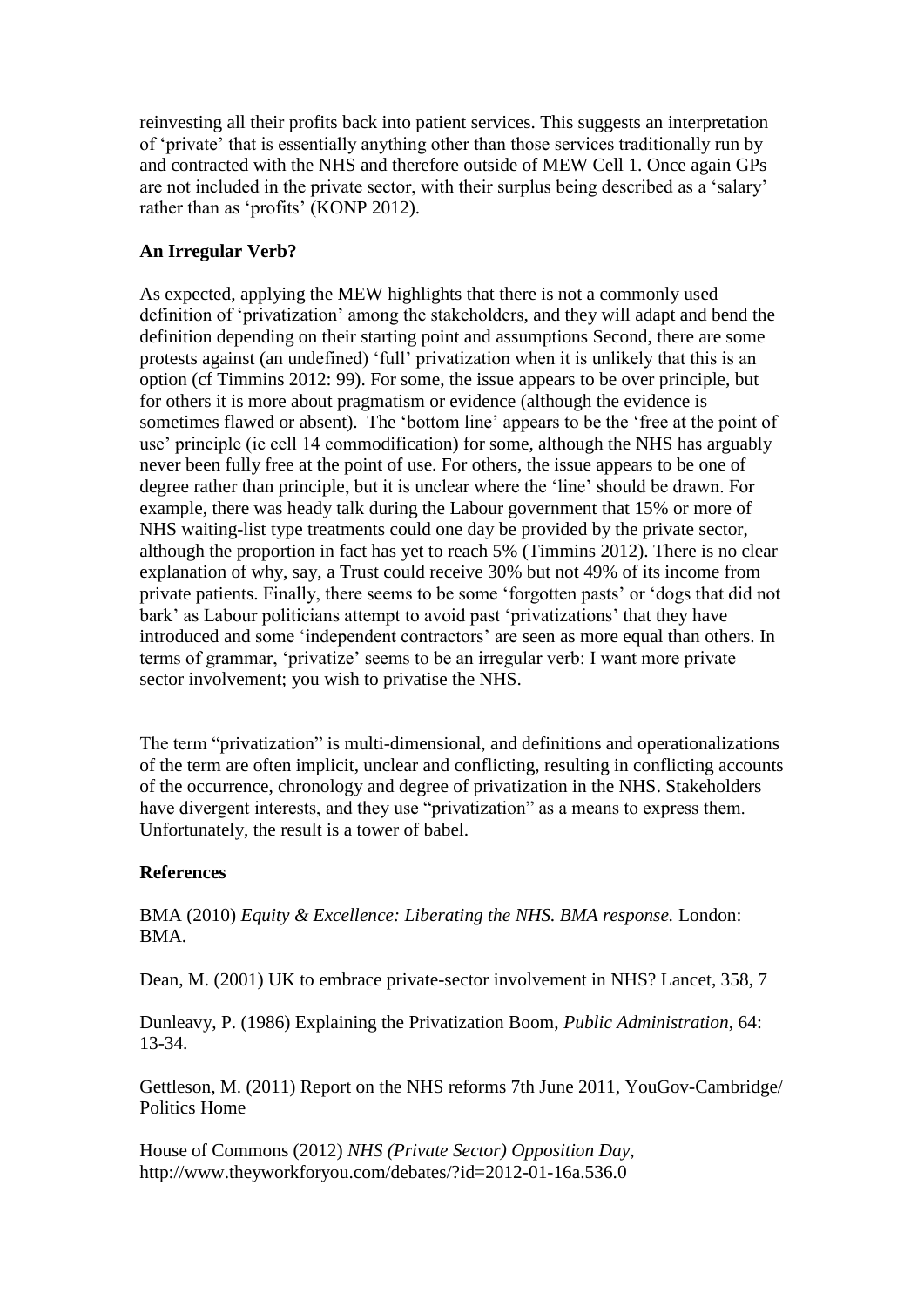reinvesting all their profits back into patient services. This suggests an interpretation of 'private' that is essentially anything other than those services traditionally run by and contracted with the NHS and therefore outside of MEW Cell 1. Once again GPs are not included in the private sector, with their surplus being described as a 'salary' rather than as 'profits' (KONP 2012).

## **An Irregular Verb?**

As expected, applying the MEW highlights that there is not a commonly used definition of 'privatization' among the stakeholders, and they will adapt and bend the definition depending on their starting point and assumptions Second, there are some protests against (an undefined) 'full' privatization when it is unlikely that this is an option (cf Timmins 2012: 99). For some, the issue appears to be over principle, but for others it is more about pragmatism or evidence (although the evidence is sometimes flawed or absent). The 'bottom line' appears to be the 'free at the point of use' principle (ie cell 14 commodification) for some, although the NHS has arguably never been fully free at the point of use. For others, the issue appears to be one of degree rather than principle, but it is unclear where the 'line' should be drawn. For example, there was heady talk during the Labour government that 15% or more of NHS waiting-list type treatments could one day be provided by the private sector, although the proportion in fact has yet to reach 5% (Timmins 2012). There is no clear explanation of why, say, a Trust could receive 30% but not 49% of its income from private patients. Finally, there seems to be some 'forgotten pasts' or 'dogs that did not bark' as Labour politicians attempt to avoid past 'privatizations' that they have introduced and some 'independent contractors' are seen as more equal than others. In terms of grammar, 'privatize' seems to be an irregular verb: I want more private sector involvement; you wish to privatise the NHS.

The term "privatization" is multi-dimensional, and definitions and operationalizations of the term are often implicit, unclear and conflicting, resulting in conflicting accounts of the occurrence, chronology and degree of privatization in the NHS. Stakeholders have divergent interests, and they use "privatization" as a means to express them. Unfortunately, the result is a tower of babel.

### **References**

BMA (2010) *Equity & Excellence: Liberating the NHS. BMA response.* London: BMA.

Dean, M. (2001) UK to embrace private-sector involvement in NHS? Lancet, 358, 7

Dunleavy, P. (1986) Explaining the Privatization Boom, *Public Administration*, 64: 13-34.

Gettleson, M. (2011) Report on the NHS reforms 7th June 2011, YouGov-Cambridge/ Politics Home

House of Commons (2012) *NHS (Private Sector) Opposition Day*, http://www.theyworkforyou.com/debates/?id=2012-01-16a.536.0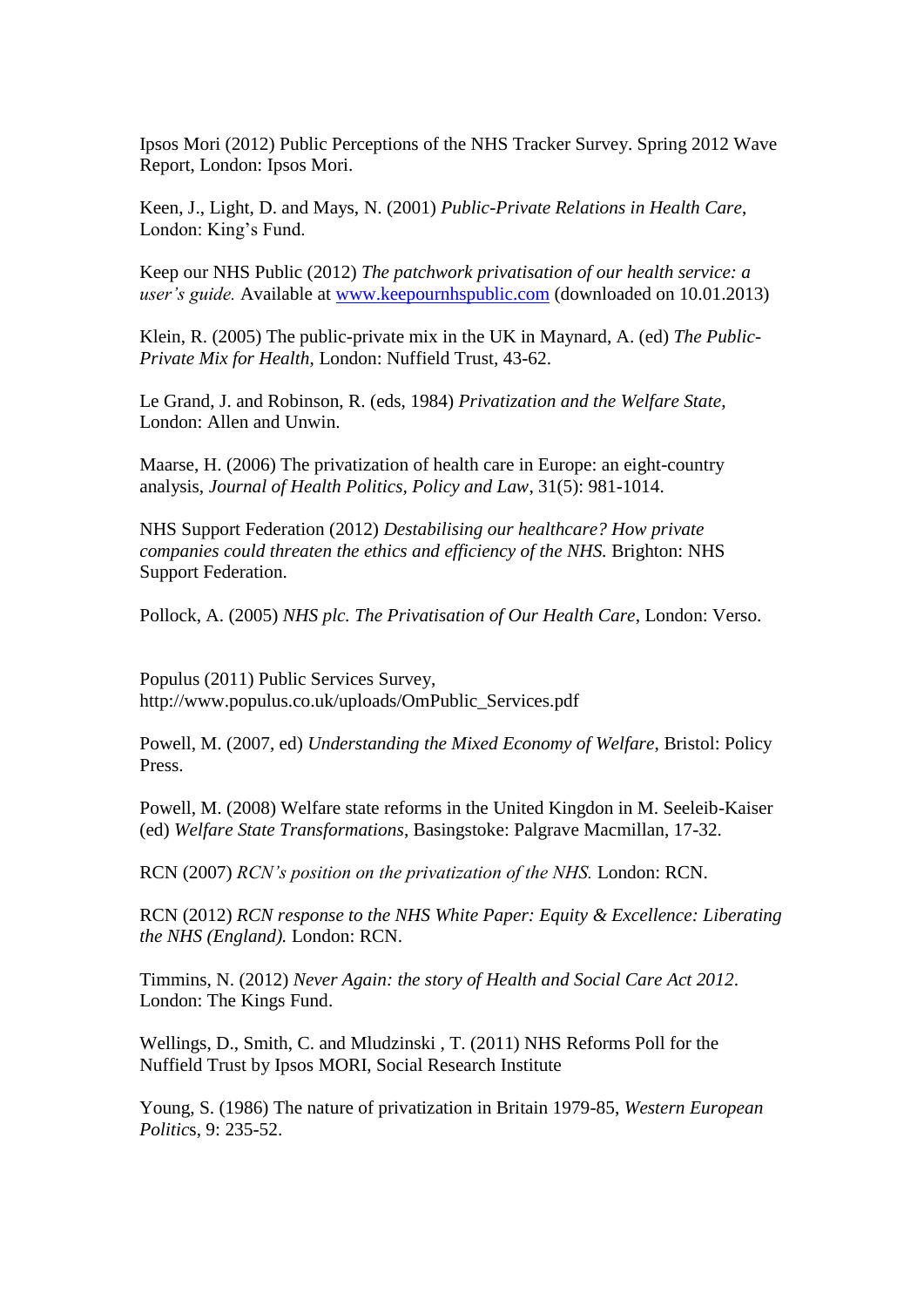Ipsos Mori (2012) Public Perceptions of the NHS Tracker Survey. Spring 2012 Wave Report, London: Ipsos Mori.

Keen, J., Light, D. and Mays, N. (2001) *Public-Private Relations in Health Care*, London: King's Fund.

Keep our NHS Public (2012) *The patchwork privatisation of our health service: a user's guide.* Available at [www.keepournhspublic.com](http://www.keepournhspublic.com/) (downloaded on 10.01.2013)

Klein, R. (2005) The public-private mix in the UK in Maynard, A. (ed) *The Public-Private Mix for Health*, London: Nuffield Trust, 43-62.

Le Grand, J. and Robinson, R. (eds, 1984) *Privatization and the Welfare State*, London: Allen and Unwin.

Maarse, H. (2006) The privatization of health care in Europe: an eight-country analysis, *Journal of Health Politics, Policy and Law*, 31(5): 981-1014.

NHS Support Federation (2012) *Destabilising our healthcare? How private companies could threaten the ethics and efficiency of the NHS.* Brighton: NHS Support Federation.

Pollock, A. (2005) *NHS plc. The Privatisation of Our Health Care*, London: Verso.

Populus (2011) Public Services Survey, http://www.populus.co.uk/uploads/OmPublic\_Services.pdf

Powell, M. (2007, ed) *Understanding the Mixed Economy of Welfare*, Bristol: Policy Press.

Powell, M. (2008) Welfare state reforms in the United Kingdon in M. Seeleib-Kaiser (ed) *Welfare State Transformations*, Basingstoke: Palgrave Macmillan, 17-32.

RCN (2007) *RCN's position on the privatization of the NHS.* London: RCN.

RCN (2012) *RCN response to the NHS White Paper: Equity & Excellence: Liberating the NHS (England).* London: RCN.

Timmins, N. (2012) *Never Again: the story of Health and Social Care Act 2012*. London: The Kings Fund.

Wellings, D., Smith, C. and Mludzinski , T. (2011) NHS Reforms Poll for the Nuffield Trust by Ipsos MORI, Social Research Institute

Young, S. (1986) The nature of privatization in Britain 1979-85, *Western European Politic*s, 9: 235-52.